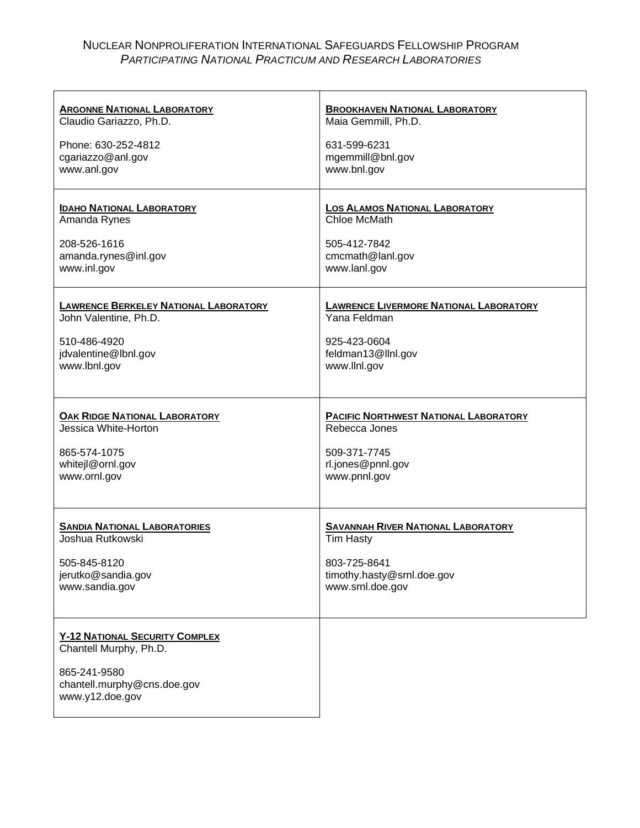# NUCLEAR NONPROLIFERATION INTERNATIONAL SAFEGUARDS FELLOWSHIP PROGRAM *PARTICIPATING NATIONAL PRACTICUM AND RESEARCH LABORATORIES*

| <b>ARGONNE NATIONAL LABORATORY</b>                                                                                                | <b>BROOKHAVEN NATIONAL LABORATORY</b>         |
|-----------------------------------------------------------------------------------------------------------------------------------|-----------------------------------------------|
| Claudio Gariazzo, Ph.D.                                                                                                           | Maia Gemmill, Ph.D.                           |
| Phone: 630-252-4812                                                                                                               | 631-599-6231                                  |
| cgariazzo@anl.gov                                                                                                                 | mgemmill@bnl.gov                              |
| www.anl.gov                                                                                                                       | www.bnl.gov                                   |
| <b>IDAHO NATIONAL LABORATORY</b>                                                                                                  | <b>LOS ALAMOS NATIONAL LABORATORY</b>         |
| Amanda Rynes                                                                                                                      | Chloe McMath                                  |
| 208-526-1616                                                                                                                      | 505-412-7842                                  |
| amanda.rynes@inl.gov                                                                                                              | cmcmath@lanl.gov                              |
| www.inl.gov                                                                                                                       | www.lanl.gov                                  |
| <b>LAWRENCE BERKELEY NATIONAL LABORATORY</b>                                                                                      | <b>LAWRENCE LIVERMORE NATIONAL LABORATORY</b> |
| John Valentine, Ph.D.                                                                                                             | Yana Feldman                                  |
| 510-486-4920                                                                                                                      | 925-423-0604                                  |
| jdvalentine@lbnl.gov                                                                                                              | feldman13@llnl.gov                            |
| www.lbnl.gov                                                                                                                      | www.llnl.gov                                  |
| <b>OAK RIDGE NATIONAL LABORATORY</b>                                                                                              | <b>PACIFIC NORTHWEST NATIONAL LABORATORY</b>  |
| Jessica White-Horton                                                                                                              | Rebecca Jones                                 |
| 865-574-1075                                                                                                                      | 509-371-7745                                  |
| whitejl@ornl.gov                                                                                                                  | rl.jones@pnnl.gov                             |
| www.ornl.gov                                                                                                                      | www.pnnl.gov                                  |
| <b>SANDIA NATIONAL LABORATORIES</b>                                                                                               | <b>SAVANNAH RIVER NATIONAL LABORATORY</b>     |
| Joshua Rutkowski                                                                                                                  | <b>Tim Hasty</b>                              |
| 505-845-8120                                                                                                                      | 803-725-8641                                  |
| jerutko@sandia.gov                                                                                                                | timothy.hasty@srnl.doe.gov                    |
| www.sandia.gov                                                                                                                    | www.srnl.doe.gov                              |
| <b>Y-12 NATIONAL SECURITY COMPLEX</b><br>Chantell Murphy, Ph.D.<br>865-241-9580<br>chantell.murphy@cns.doe.gov<br>www.y12.doe.gov |                                               |